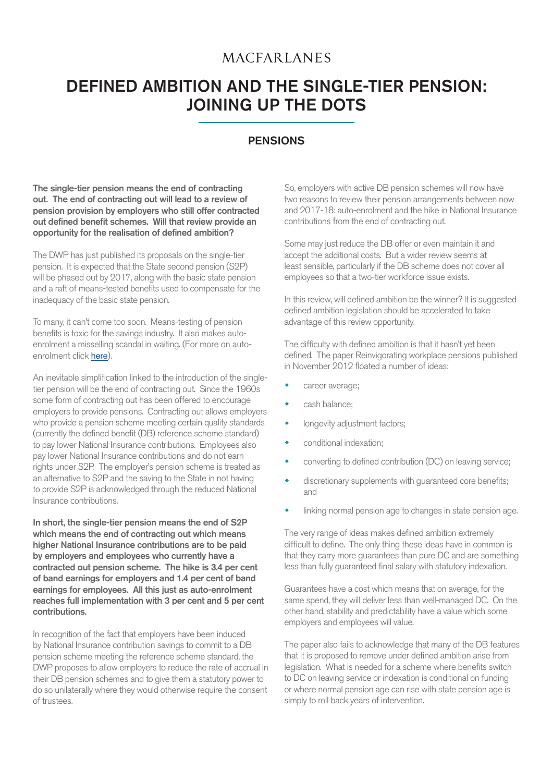## **MACFARLANES**

# DEFINED AMBITION AND THE SINGLE-TIER PENSION: JOINING UP THE DOTS

### **PENSIONS**

The single-tier pension means the end of contracting out. The end of contracting out will lead to a review of pension provision by employers who still offer contracted out defined benefit schemes. Will that review provide an opportunity for the realisation of defined ambition?

The DWP has just published its proposals on the single-tier pension. It is expected that the State second pension (S2P) will be phased out by 2017, along with the basic state pension and a raft of means-tested benefits used to compensate for the inadequacy of the basic state pension.

To many, it can't come too soon. Means-testing of pension benefits is toxic for the savings industry. It also makes autoenrolment a misselling scandal in waiting. (For more on autoenrolment click [here](http://www.macfarlanes.com/news--publications/publications/2012/the-2012-pensions-revolution---a-complete-guide-to-auto-enrolment.aspx)).

An inevitable simplification linked to the introduction of the singletier pension will be the end of contracting out. Since the 1960s some form of contracting out has been offered to encourage employers to provide pensions. Contracting out allows employers who provide a pension scheme meeting certain quality standards (currently the defined benefit (DB) reference scheme standard) to pay lower National Insurance contributions. Employees also pay lower National Insurance contributions and do not earn rights under S2P. The employer's pension scheme is treated as an alternative to S2P and the saving to the State in not having to provide S2P is acknowledged through the reduced National Insurance contributions.

In short, the single-tier pension means the end of S2P which means the end of contracting out which means higher National Insurance contributions are to be paid by employers and employees who currently have a contracted out pension scheme. The hike is 3.4 per cent of band earnings for employers and 1.4 per cent of band earnings for employees. All this just as auto-enrolment reaches full implementation with 3 per cent and 5 per cent contributions.

In recognition of the fact that employers have been induced by National Insurance contribution savings to commit to a DB pension scheme meeting the reference scheme standard, the DWP proposes to allow employers to reduce the rate of accrual in their DB pension schemes and to give them a statutory power to do so unilaterally where they would otherwise require the consent of trustees.

So, employers with active DB pension schemes will now have two reasons to review their pension arrangements between now and 2017-18: auto-enrolment and the hike in National Insurance contributions from the end of contracting out.

Some may just reduce the DB offer or even maintain it and accept the additional costs. But a wider review seems at least sensible, particularly if the DB scheme does not cover all employees so that a two-tier workforce issue exists.

In this review, will defined ambition be the winner? It is suggested defined ambition legislation should be accelerated to take advantage of this review opportunity.

The difficulty with defined ambition is that it hasn't yet been defined. The paper Reinvigorating workplace pensions published in November 2012 floated a number of ideas:

- career average;
- cash balance;
- longevity adjustment factors;
- conditional indexation;
- converting to defined contribution (DC) on leaving service;
- discretionary supplements with guaranteed core benefits; and
- linking normal pension age to changes in state pension age.

The very range of ideas makes defined ambition extremely difficult to define. The only thing these ideas have in common is that they carry more guarantees than pure DC and are something less than fully guaranteed final salary with statutory indexation.

Guarantees have a cost which means that on average, for the same spend, they will deliver less than well-managed DC. On the other hand, stability and predictability have a value which some employers and employees will value.

The paper also fails to acknowledge that many of the DB features that it is proposed to remove under defined ambition arise from legislation. What is needed for a scheme where benefits switch to DC on leaving service or indexation is conditional on funding or where normal pension age can rise with state pension age is simply to roll back years of intervention.